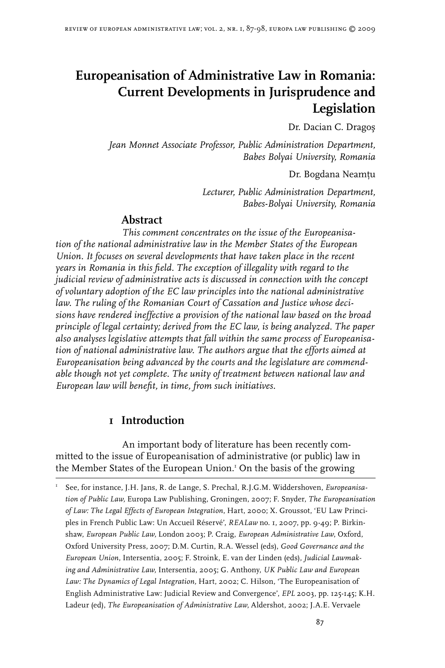# **Europeanisation of Administrative Law in Romania: Current Developments in Jurisprudence and Legislation**

Dr. Dacian C. Dragoş

*Jean Monnet Associate Professor, Public Administration Department, Babes Bolyai University, Romania*

Dr. Bogdana Neamtu

*Lecturer, Public Administration Department, Babes-Bolyai University, Romania*

## **Abstract**

*This comment concentrates on the issue of the Europeanisation of the national administrative law in the Member States of the European Union. It focuses on several developments that have taken place in the recent years in Romania in this field. The exception of illegality with regard to the judicial review of administrative acts is discussed in connection with the concept of voluntary adoption of the EC law principles into the national administrative law. The ruling of the Romanian Court of Cassation and Justice whose decisions have rendered ineffective a provision of the national law based on the broad principle of legal certainty; derived from the EC law, is being analyzed. The paper also analyses legislative attempts that fall within the same process of Europeanisation of national administrative law. The authors argue that the efforts aimed at Europeanisation being advanced by the courts and the legislature are commendable though not yet complete. The unity of treatment between national law and European law will benefit, in time, from such initiatives.* 

## **1 Introduction**

An important body of literature has been recently committed to the issue of Europeanisation of administrative (or public) law in the Member States of the European Union. On the basis of the growing

I See, for instance, J.H. Jans, R. de Lange, S. Prechal, R.J.G.M. Widdershoven, *Europeanisation of Public Law,* Europa Law Publishing, Groningen, 2007; F. Snyder, *The Europeanisation of Law: The Legal Effects of European Integration*, Hart, 2000; X. Groussot, 'EU Law Principles in French Public Law: Un Accueil Réservé', *REALaw* no. 1, 2007, pp. 9-49; P. Birkinshaw, *European Public Law,* London 2003; P. Craig, *European Administrative Law*, Oxford, Oxford University Press, 2007; D.M. Curtin, R.A. Wessel (eds), *Good Governance and the European Union,* Intersentia, 2005; F. Stroink, E. van der Linden (eds), *Judicial Lawmaking and Administrative Law,* Intersentia, 2005; G. Anthony, *UK Public Law and European Law: The Dynamics of Legal Integration,* Hart, 2002; C. Hilson, 'The Europeanisation of English Administrative Law: Judicial Review and Convergence', *EPL* 2003, pp. 125-145; K.H. Ladeur (ed), *The Europeanisation of Administrative Law*, Aldershot, 2002; J.A.E. Vervaele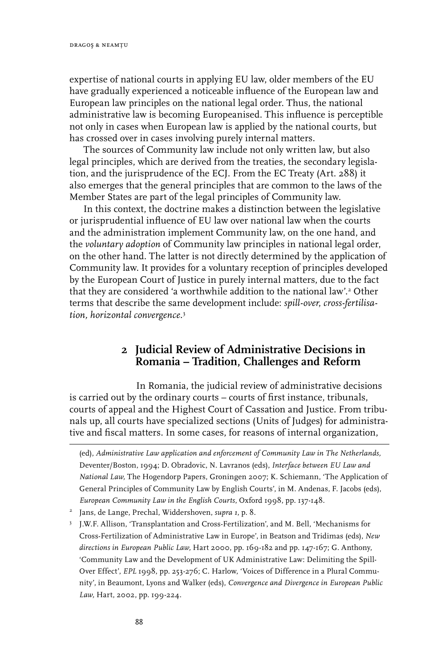expertise of national courts in applying EU law, older members of the EU have gradually experienced a noticeable influence of the European law and European law principles on the national legal order. Thus, the national administrative law is becoming Europeanised. This influence is perceptible not only in cases when European law is applied by the national courts, but has crossed over in cases involving purely internal matters.

The sources of Community law include not only written law, but also legal principles, which are derived from the treaties, the secondary legislation, and the jurisprudence of the ECJ. From the EC Treaty (Art. 288) it also emerges that the general principles that are common to the laws of the Member States are part of the legal principles of Community law.

In this context, the doctrine makes a distinction between the legislative or jurisprudential influence of EU law over national law when the courts and the administration implement Community law, on the one hand, and the *voluntary adoption* of Community law principles in national legal order, on the other hand. The latter is not directly determined by the application of Community law. It provides for a voluntary reception of principles developed by the European Court of Justice in purely internal matters, due to the fact that they are considered 'a worthwhile addition to the national law'.<sup>2</sup> Other terms that describe the same development include: *spill-over*, *cross-fertilisation, horizontal convergence.*

#### **2 Judicial Review of Administrative Decisions in Romania – Tradition, Challenges and Reform**

In Romania, the judicial review of administrative decisions is carried out by the ordinary courts – courts of first instance, tribunals, courts of appeal and the Highest Court of Cassation and Justice. From tribunals up, all courts have specialized sections (Units of Judges) for administrative and fiscal matters. In some cases, for reasons of internal organization,

(ed), *Administrative Law application and enforcement of Community Law in The Netherlands,*  Deventer/Boston, 1994; D. Obradovic, N. Lavranos (eds), *Interface between EU Law and National Law,* The Hogendorp Papers, Groningen 2007; K. Schiemann, 'The Application of General Principles of Community Law by English Courts', in M. Andenas, F. Jacobs (eds), *European Community Law in the English Courts*, Oxford 1998, pp. 137-148.

- Jans, de Lange, Prechal, Widdershoven, *supra 1*, p. 8.
- J.W.F. Allison, 'Transplantation and Cross-Fertilization', and M. Bell, 'Mechanisms for Cross-Fertilization of Administrative Law in Europe', in Beatson and Tridimas (eds), *New directions in European Public Law,* Hart 2000, pp. 169-182 and pp. 147-167; G. Anthony, 'Community Law and the Development of UK Administrative Law: Delimiting the Spill-Over Effect', *EPL* 1998, pp. 253-276; C. Harlow, 'Voices of Difference in a Plural Community', in Beaumont, Lyons and Walker (eds), *Convergence and Divergence in European Public Law,* Hart, 2002, pp. 199-224.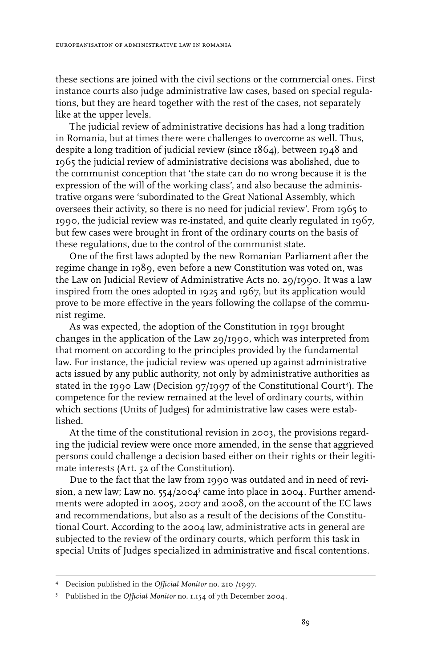these sections are joined with the civil sections or the commercial ones. First instance courts also judge administrative law cases, based on special regulations, but they are heard together with the rest of the cases, not separately like at the upper levels.

The judicial review of administrative decisions has had a long tradition in Romania, but at times there were challenges to overcome as well. Thus, despite a long tradition of judicial review (since 1864), between 1948 and 1965 the judicial review of administrative decisions was abolished, due to the communist conception that 'the state can do no wrong because it is the expression of the will of the working class', and also because the administrative organs were 'subordinated to the Great National Assembly, which oversees their activity, so there is no need for judicial review'. From 1965 to 1990, the judicial review was re-instated, and quite clearly regulated in 1967, but few cases were brought in front of the ordinary courts on the basis of these regulations, due to the control of the communist state.

One of the first laws adopted by the new Romanian Parliament after the regime change in 1989, even before a new Constitution was voted on, was the Law on Judicial Review of Administrative Acts no. 29/1990. It was a law inspired from the ones adopted in 1925 and 1967, but its application would prove to be more effective in the years following the collapse of the communist regime.

As was expected, the adoption of the Constitution in 1991 brought changes in the application of the Law 29/1990, which was interpreted from that moment on according to the principles provided by the fundamental law. For instance, the judicial review was opened up against administrative acts issued by any public authority, not only by administrative authorities as stated in the 1990 Law (Decision 97/1997 of the Constitutional Court<sup>4</sup>). The competence for the review remained at the level of ordinary courts, within which sections (Units of Judges) for administrative law cases were established.

At the time of the constitutional revision in 2003, the provisions regarding the judicial review were once more amended, in the sense that aggrieved persons could challenge a decision based either on their rights or their legitimate interests (Art. 52 of the Constitution).

Due to the fact that the law from 1990 was outdated and in need of revision, a new law; Law no.  $554/2004^5$  came into place in 2004. Further amendments were adopted in 2005, 2007 and 2008, on the account of the EC laws and recommendations, but also as a result of the decisions of the Constitutional Court. According to the 2004 law, administrative acts in general are subjected to the review of the ordinary courts, which perform this task in special Units of Judges specialized in administrative and fiscal contentions.

Decision published in the *Official Monitor* no. 210 /1997.

Published in the *Official Monitor* no. 1.154 of 7th December 2004.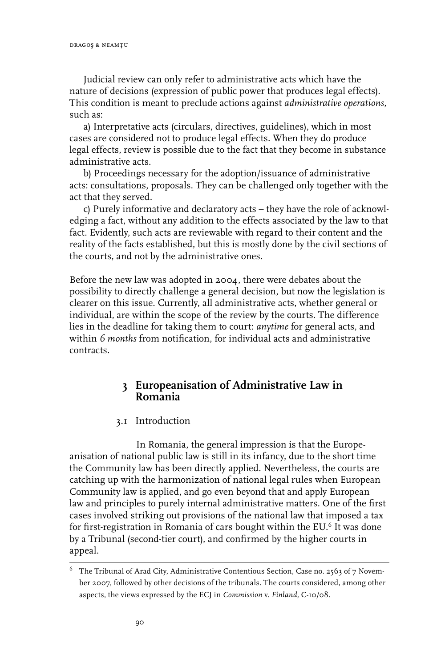Judicial review can only refer to administrative acts which have the nature of decisions (expression of public power that produces legal effects). This condition is meant to preclude actions against *administrative operations,* such as:

a) Interpretative acts (circulars, directives, guidelines), which in most cases are considered not to produce legal effects. When they do produce legal effects, review is possible due to the fact that they become in substance administrative acts.

b) Proceedings necessary for the adoption/issuance of administrative acts: consultations, proposals. They can be challenged only together with the act that they served.

c) Purely informative and declaratory acts – they have the role of acknowledging a fact, without any addition to the effects associated by the law to that fact. Evidently, such acts are reviewable with regard to their content and the reality of the facts established, but this is mostly done by the civil sections of the courts, and not by the administrative ones.

Before the new law was adopted in 2004, there were debates about the possibility to directly challenge a general decision, but now the legislation is clearer on this issue. Currently, all administrative acts, whether general or individual, are within the scope of the review by the courts. The difference lies in the deadline for taking them to court: *anytime* for general acts, and within *6 months* from notification, for individual acts and administrative contracts.

## **3 Europeanisation of Administrative Law in Romania**

#### 3.1 Introduction

In Romania, the general impression is that the Europeanisation of national public law is still in its infancy, due to the short time the Community law has been directly applied. Nevertheless, the courts are catching up with the harmonization of national legal rules when European Community law is applied, and go even beyond that and apply European law and principles to purely internal administrative matters. One of the first cases involved striking out provisions of the national law that imposed a tax for first-registration in Romania of cars bought within the EU.<sup>6</sup> It was done by a Tribunal (second-tier court), and confirmed by the higher courts in appeal.

The Tribunal of Arad City, Administrative Contentious Section, Case no. 2563 of 7 November 2007, followed by other decisions of the tribunals. The courts considered, among other aspects, the views expressed by the ECJ in *Commission* v. *Finland,* C-10/08.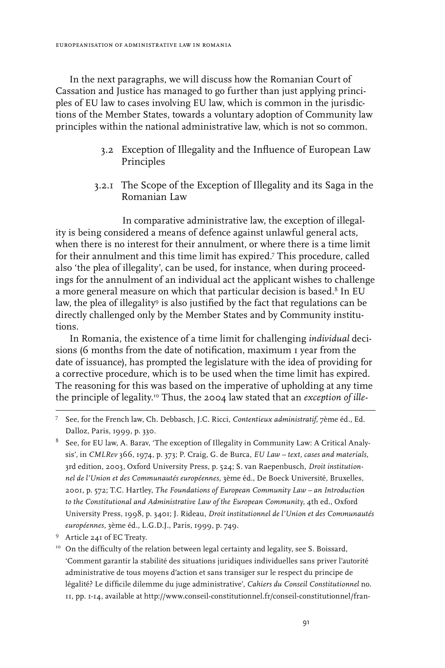In the next paragraphs, we will discuss how the Romanian Court of Cassation and Justice has managed to go further than just applying principles of EU law to cases involving EU law, which is common in the jurisdictions of the Member States, towards a voluntary adoption of Community law principles within the national administrative law, which is not so common.

- 3.2 Exception of Illegality and the Influence of European Law Principles
- 3.2.1 The Scope of the Exception of Illegality and its Saga in the Romanian Law

In comparative administrative law, the exception of illegality is being considered a means of defence against unlawful general acts, when there is no interest for their annulment, or where there is a time limit for their annulment and this time limit has expired.<sup>7</sup> This procedure, called also 'the plea of illegality', can be used, for instance, when during proceedings for the annulment of an individual act the applicant wishes to challenge a more general measure on which that particular decision is based.<sup>8</sup> In EU law, the plea of illegality<sup>9</sup> is also justified by the fact that regulations can be directly challenged only by the Member States and by Community institutions.

In Romania, the existence of a time limit for challenging *individual* decisions (6 months from the date of notification, maximum 1 year from the date of issuance), has prompted the legislature with the idea of providing for a corrective procedure, which is to be used when the time limit has expired. The reasoning for this was based on the imperative of upholding at any time the principle of legality.10 Thus, the 2004 law stated that an *exception of ille-*

See, for the French law, Ch. Debbasch, J.C. Ricci, *Contentieux administratif,* 7ème éd., Ed. Dalloz, Paris, 1999*,* p. 330.

 $8$  See, for EU law, A. Barav, 'The exception of Illegality in Community Law: A Critical Analysis', in *CMLRev* 366, 1974, p. 373; P. Craig, G. de Burca, *EU Law – text, cases and materials*, 3rd edition, 2003, Oxford University Press, p. 524; S. van Raepenbusch, *Droit institutionnel de l'Union et des Communautés européennes,* 3ème éd., De Boeck Université, Bruxelles, 2001, p. 572; T.C. Hartley, *The Foundations of European Community Law – an Introduction to the Constitutional and Administrative Law of the European Community,* 4th ed., Oxford University Press, 1998, p. 3401; J. Rideau, *Droit institutionnel de l'Union et des Communautés européennes,* 3ème éd., L.G.D.J., Paris, 1999, p. 749.

Article 241 of EC Treaty.

<sup>&</sup>lt;sup>10</sup> On the difficulty of the relation between legal certainty and legality, see S. Boissard, 'Comment garantir la stabilité des situations juridiques individuelles sans priver l'autorité administrative de tous moyens d'action et sans transiger sur le respect du principe de légalité? Le difficile dilemme du juge administrative', *Cahiers du Conseil Constitutionnel* no. 11, pp. 1-14, available at http://www.conseil-constitutionnel.fr/conseil-constitutionnel/fran-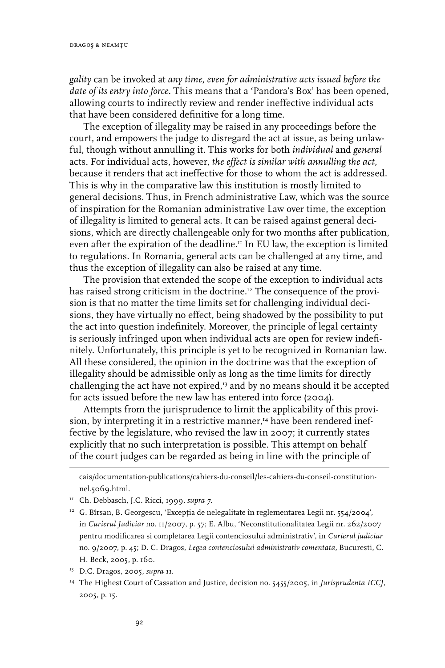*gality* can be invoked at *any time*, *even for administrative acts issued before the date of its entry into force*. This means that a 'Pandora's Box' has been opened, allowing courts to indirectly review and render ineffective individual acts that have been considered definitive for a long time.

The exception of illegality may be raised in any proceedings before the court, and empowers the judge to disregard the act at issue, as being unlawful, though without annulling it. This works for both *individual* and *general* acts. For individual acts, however, *the effect is similar with annulling the act,* because it renders that act ineffective for those to whom the act is addressed. This is why in the comparative law this institution is mostly limited to general decisions. Thus, in French administrative Law, which was the source of inspiration for the Romanian administrative Law over time, the exception of illegality is limited to general acts. It can be raised against general decisions, which are directly challengeable only for two months after publication, even after the expiration of the deadline.<sup>11</sup> In EU law, the exception is limited to regulations. In Romania, general acts can be challenged at any time, and thus the exception of illegality can also be raised at any time.

The provision that extended the scope of the exception to individual acts has raised strong criticism in the doctrine.<sup>12</sup> The consequence of the provision is that no matter the time limits set for challenging individual decisions, they have virtually no effect, being shadowed by the possibility to put the act into question indefinitely. Moreover, the principle of legal certainty is seriously infringed upon when individual acts are open for review indefinitely. Unfortunately, this principle is yet to be recognized in Romanian law. All these considered, the opinion in the doctrine was that the exception of illegality should be admissible only as long as the time limits for directly challenging the act have not expired, $13$  and by no means should it be accepted for acts issued before the new law has entered into force (2004).

Attempts from the jurisprudence to limit the applicability of this provision, by interpreting it in a restrictive manner,<sup>14</sup> have been rendered ineffective by the legislature, who revised the law in 2007; it currently states explicitly that no such interpretation is possible. This attempt on behalf of the court judges can be regarded as being in line with the principle of

cais/documentation-publications/cahiers-du-conseil/les-cahiers-du-conseil-constitutionnel.5069.html.

<sup>11</sup> Ch. Debbasch, J.C. Ricci, 1999, *supra 7*.

<sup>&</sup>lt;sup>12</sup> G. Bîrsan, B. Georgescu, 'Excepția de nelegalitate în reglementarea Legii nr. 554/2004', in *Curierul Judiciar* no. 11/2007, p. 57; E. Albu, 'Neconstitutionalitatea Legii nr. 262/2007 pentru modificarea si completarea Legii contenciosului administrativ', in *Curierul judiciar* no. 9/2007, p. 45; D. C. Dragos, *Legea contenciosului administrativ comentata,* Bucuresti, C. H. Beck, 2005, p. 160.

<sup>13</sup> D.C. Dragos, 2005, *supra 11.*

<sup>14</sup> The Highest Court of Cassation and Justice, decision no. 5455/2005, in *Jurisprudenta ICCJ*, 2005, p. 15.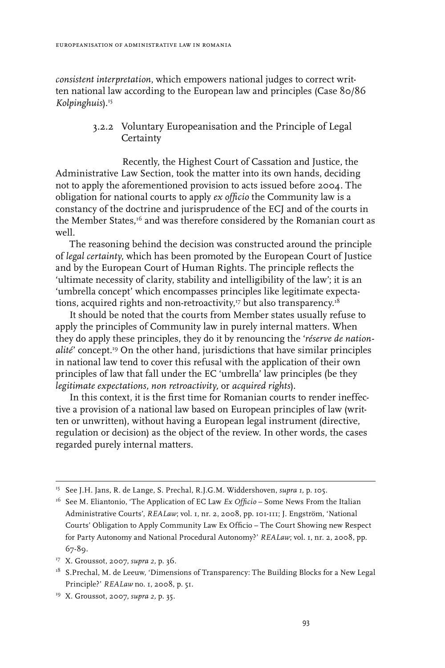*consistent interpretation*, which empowers national judges to correct written national law according to the European law and principles (Case 80/86 *Kolpinghuis*).15

#### 3.2.2 Voluntary Europeanisation and the Principle of Legal **Certainty**

Recently, the Highest Court of Cassation and Justice, the Administrative Law Section, took the matter into its own hands, deciding not to apply the aforementioned provision to acts issued before 2004. The obligation for national courts to apply *ex officio* the Community law is a constancy of the doctrine and jurisprudence of the ECJ and of the courts in the Member States,<sup>16</sup> and was therefore considered by the Romanian court as well.

The reasoning behind the decision was constructed around the principle of *legal certainty*, which has been promoted by the European Court of Justice and by the European Court of Human Rights. The principle reflects the 'ultimate necessity of clarity, stability and intelligibility of the law'; it is an 'umbrella concept' which encompasses principles like legitimate expectations, acquired rights and non-retroactivity, $^{\scriptscriptstyle 17}$  but also transparency. $^{\scriptscriptstyle 18}$ 

It should be noted that the courts from Member states usually refuse to apply the principles of Community law in purely internal matters. When they do apply these principles, they do it by renouncing the '*réserve de nationalité*' concept.19 On the other hand, jurisdictions that have similar principles in national law tend to cover this refusal with the application of their own principles of law that fall under the EC 'umbrella' law principles (be they *legitimate expectations, non retroactivity,* or *acquired rights*).

In this context, it is the first time for Romanian courts to render ineffective a provision of a national law based on European principles of law (written or unwritten), without having a European legal instrument (directive, regulation or decision) as the object of the review. In other words, the cases regarded purely internal matters.

<sup>15</sup> See J.H. Jans, R. de Lange, S. Prechal, R.J.G.M. Widdershoven, *supra 1,* p. 105.

<sup>16</sup> See M. Eliantonio, 'The Application of EC Law *Ex Officio* – Some News From the Italian Administrative Courts', *REALaw*; vol. 1, nr. 2, 2008, pp. 101-111; J. Engström, 'National Courts' Obligation to Apply Community Law Ex Officio – The Court Showing new Respect for Party Autonomy and National Procedural Autonomy?' *REALaw*; vol. 1, nr. 2, 2008, pp. 67-89.

<sup>17</sup> X. Groussot, 2007, *supra 2,* p. 36*.*

<sup>&</sup>lt;sup>18</sup> S.Prechal, M. de Leeuw, 'Dimensions of Transparency: The Building Blocks for a New Legal Principle?' *REALaw* no. 1, 2008, p. 51.

<sup>19</sup> X. Groussot, 2007, *supra 2,* p. 35.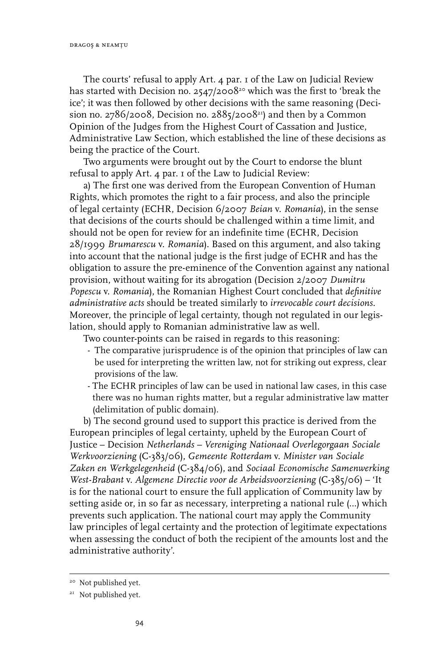The courts' refusal to apply Art. 4 par. 1 of the Law on Judicial Review has started with Decision no. 2547/2008<sup>20</sup> which was the first to 'break the ice'; it was then followed by other decisions with the same reasoning (Decision no. 2786/2008, Decision no. 2885/2008 $^{21}$ ) and then by a Common Opinion of the Judges from the Highest Court of Cassation and Justice, Administrative Law Section, which established the line of these decisions as being the practice of the Court.

Two arguments were brought out by the Court to endorse the blunt refusal to apply Art. 4 par. 1 of the Law to Judicial Review:

a) The first one was derived from the European Convention of Human Rights, which promotes the right to a fair process, and also the principle of legal certainty (ECHR, Decision 6/2007 *Beian* v. *Romania*), in the sense that decisions of the courts should be challenged within a time limit, and should not be open for review for an indefinite time (ECHR, Decision 28/1999 *Brumarescu* v. *Romania*). Based on this argument, and also taking into account that the national judge is the first judge of ECHR and has the obligation to assure the pre-eminence of the Convention against any national provision, without waiting for its abrogation (Decision 2/2007 *Dumitru Popescu* v. *Romania*), the Romanian Highest Court concluded that *definitive administrative acts* should be treated similarly to *irrevocable court decisions*. Moreover, the principle of legal certainty, though not regulated in our legislation, should apply to Romanian administrative law as well.

Two counter-points can be raised in regards to this reasoning:

- The comparative jurisprudence is of the opinion that principles of law can be used for interpreting the written law, not for striking out express, clear provisions of the law.
- The ECHR principles of law can be used in national law cases, in this case there was no human rights matter, but a regular administrative law matter (delimitation of public domain).

b) The second ground used to support this practice is derived from the European principles of legal certainty, upheld by the European Court of Justice – Decision *Netherlands – Vereniging Nationaal Overlegorgaan Sociale Werkvoorziening* (C-383/06), *Gemeente Rotterdam* v. *Minister van Sociale Zaken en Werkgelegenheid* (C-384/06), and *Sociaal Economische Samenwerking West-Brabant* v. *Algemene Directie voor de Arbeidsvoorziening* (C-385/06) – 'It is for the national court to ensure the full application of Community law by setting aside or, in so far as necessary, interpreting a national rule (…) which prevents such application. The national court may apply the Community law principles of legal certainty and the protection of legitimate expectations when assessing the conduct of both the recipient of the amounts lost and the administrative authority'.

<sup>&</sup>lt;sup>20</sup> Not published yet.

<sup>&</sup>lt;sup>21</sup> Not published yet.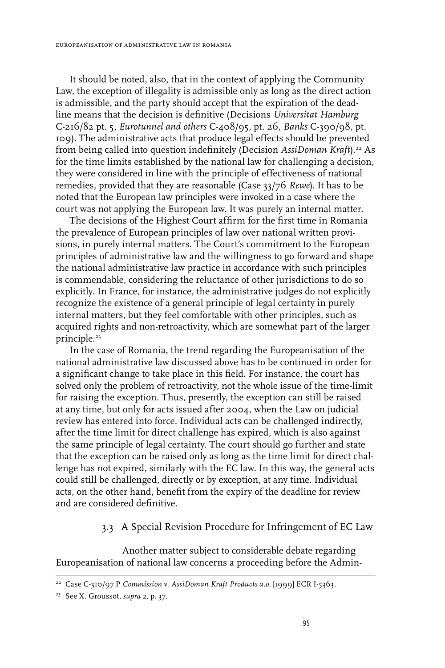It should be noted, also, that in the context of applying the Community Law, the exception of illegality is admissible only as long as the direct action is admissible, and the party should accept that the expiration of the deadline means that the decision is definitive (Decisions *Universitat Hamburg* C-216/82 pt. 5, *Eurotunnel and others* C-408/95, pt. 26, *Banks* C-390/98, pt. 109). The administrative acts that produce legal effects should be prevented from being called into question indefinitely (Decision AssiDoman Kraft).<sup>22</sup> As for the time limits established by the national law for challenging a decision, they were considered in line with the principle of effectiveness of national remedies, provided that they are reasonable (Case 33/76 *Rewe*). It has to be noted that the European law principles were invoked in a case where the court was not applying the European law. It was purely an internal matter.

The decisions of the Highest Court affirm for the first time in Romania the prevalence of European principles of law over national written provisions, in purely internal matters. The Court's commitment to the European principles of administrative law and the willingness to go forward and shape the national administrative law practice in accordance with such principles is commendable, considering the reluctance of other jurisdictions to do so explicitly. In France, for instance, the administrative judges do not explicitly recognize the existence of a general principle of legal certainty in purely internal matters, but they feel comfortable with other principles, such as acquired rights and non-retroactivity, which are somewhat part of the larger principle.<sup>23</sup>

In the case of Romania, the trend regarding the Europeanisation of the national administrative law discussed above has to be continued in order for a significant change to take place in this field. For instance, the court has solved only the problem of retroactivity, not the whole issue of the time-limit for raising the exception. Thus, presently, the exception can still be raised at any time, but only for acts issued after 2004, when the Law on judicial review has entered into force. Individual acts can be challenged indirectly, after the time limit for direct challenge has expired, which is also against the same principle of legal certainty. The court should go further and state that the exception can be raised only as long as the time limit for direct challenge has not expired, similarly with the EC law. In this way, the general acts could still be challenged, directly or by exception, at any time. Individual acts, on the other hand, benefit from the expiry of the deadline for review and are considered definitive.

#### 3.3 A Special Revision Procedure for Infringement of EC Law

Another matter subject to considerable debate regarding Europeanisation of national law concerns a proceeding before the Admin-

<sup>22</sup> Case C-310/97 P *Commission* v. *AssiDoman Kraft Products a.o.* [1999] ECR I-5363.

<sup>23</sup> See X. Groussot, *supra 2,* p. 37.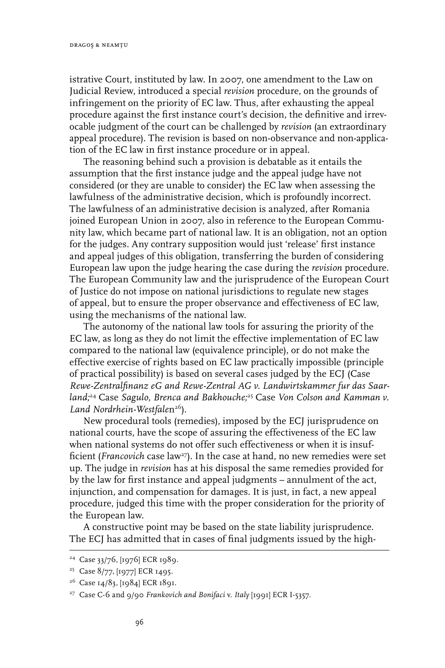istrative Court, instituted by law. In 2007, one amendment to the Law on Judicial Review, introduced a special *revision* procedure, on the grounds of infringement on the priority of EC law. Thus, after exhausting the appeal procedure against the first instance court's decision, the definitive and irrevocable judgment of the court can be challenged by *revision* (an extraordinary appeal procedure). The revision is based on non-observance and non-application of the EC law in first instance procedure or in appeal.

The reasoning behind such a provision is debatable as it entails the assumption that the first instance judge and the appeal judge have not considered (or they are unable to consider) the EC law when assessing the lawfulness of the administrative decision, which is profoundly incorrect. The lawfulness of an administrative decision is analyzed, after Romania joined European Union in 2007, also in reference to the European Community law, which became part of national law. It is an obligation, not an option for the judges. Any contrary supposition would just 'release' first instance and appeal judges of this obligation, transferring the burden of considering European law upon the judge hearing the case during the *revision* procedure. The European Community law and the jurisprudence of the European Court of Justice do not impose on national jurisdictions to regulate new stages of appeal, but to ensure the proper observance and effectiveness of EC law, using the mechanisms of the national law.

The autonomy of the national law tools for assuring the priority of the EC law, as long as they do not limit the effective implementation of EC law compared to the national law (equivalence principle), or do not make the effective exercise of rights based on EC law practically impossible (principle of practical possibility) is based on several cases judged by the ECJ (Case *Rewe-Zentralfinanz eG and Rewe-Zentral AG v. Landwirtskammer fur das Saarland;*24 Case *Sagulo, Brenca and Bakhouche;*25 Case *Von Colson and Kamman v.*  Land Nordrhein-Westfalen<sup>26</sup>).

New procedural tools (remedies), imposed by the ECJ jurisprudence on national courts, have the scope of assuring the effectiveness of the EC law when national systems do not offer such effectiveness or when it is insufficient (*Francovich* case law<sup>27</sup>). In the case at hand, no new remedies were set up. The judge in *revision* has at his disposal the same remedies provided for by the law for first instance and appeal judgments – annulment of the act, injunction, and compensation for damages. It is just, in fact, a new appeal procedure, judged this time with the proper consideration for the priority of the European law.

A constructive point may be based on the state liability jurisprudence. The ECJ has admitted that in cases of final judgments issued by the high-

<sup>24</sup> Case 33/76, [1976] ECR 1989.

<sup>&</sup>lt;sup>25</sup> Case 8/77, [1977] ECR 1495.

<sup>26</sup> Case 14/83, [1984] ECR 1891.

<sup>27</sup> Case C-6 and 9/90 *Frankovich and Bonifaci* v. *Italy* [1991] ECR I-5357.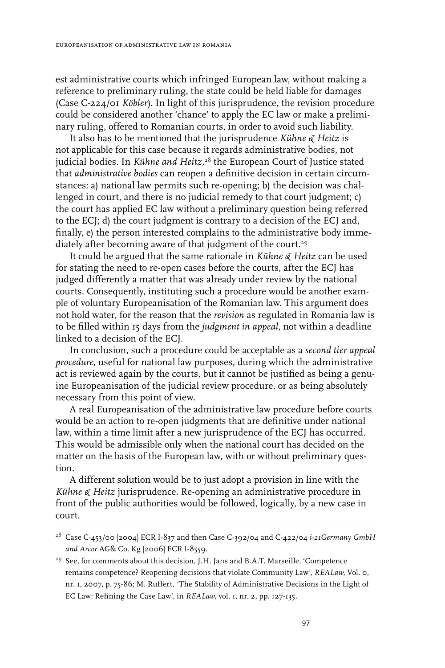est administrative courts which infringed European law, without making a reference to preliminary ruling, the state could be held liable for damages (Case C-224/01 *Köbler*). In light of this jurisprudence, the revision procedure could be considered another 'chance' to apply the EC law or make a preliminary ruling, offered to Romanian courts, in order to avoid such liability.

It also has to be mentioned that the jurisprudence *Kühne & Heitz* is not applicable for this case because it regards administrative bodies, not judicial bodies. In *Kühne and Heitz,*28 the European Court of Justice stated that *administrative bodies* can reopen a definitive decision in certain circumstances: a) national law permits such re-opening; b) the decision was challenged in court, and there is no judicial remedy to that court judgment; c) the court has applied EC law without a preliminary question being referred to the ECJ; d) the court judgment is contrary to a decision of the ECJ and, finally, e) the person interested complains to the administrative body immediately after becoming aware of that judgment of the court.<sup>29</sup>

It could be argued that the same rationale in *Kühne & Heitz* can be used for stating the need to re-open cases before the courts, after the ECJ has judged differently a matter that was already under review by the national courts. Consequently, instituting such a procedure would be another example of voluntary Europeanisation of the Romanian law. This argument does not hold water, for the reason that the *revision* as regulated in Romania law is to be filled within 15 days from the *judgment in appeal*, not within a deadline linked to a decision of the ECJ.

In conclusion, such a procedure could be acceptable as a *second tier appeal procedure,* useful for national law purposes, during which the administrative act is reviewed again by the courts, but it cannot be justified as being a genuine Europeanisation of the judicial review procedure, or as being absolutely necessary from this point of view.

A real Europeanisation of the administrative law procedure before courts would be an action to re-open judgments that are definitive under national law, within a time limit after a new jurisprudence of the ECJ has occurred. This would be admissible only when the national court has decided on the matter on the basis of the European law, with or without preliminary question.

A different solution would be to just adopt a provision in line with the *Kühne & Heitz* jurisprudence. Re-opening an administrative procedure in front of the public authorities would be followed, logically, by a new case in court.

<sup>28</sup> Case C-453/00 [2004] ECR I-837 and then Case C-392/04 and C-422/04 *i-21Germany GmbH and Arcor* AG& Co. Kg [2006] ECR I-8559.

<sup>&</sup>lt;sup>29</sup> See, for comments about this decision, J.H. Jans and B.A.T. Marseille, 'Competence remains competence? Reopening decisions that violate Community Law', *REALaw*, Vol. 0, nr. 1, 2007, p. 75-86; M. Ruffert, *'*The Stability of Administrative Decisions in the Light of EC Law: Refining the Case Law', in *REALaw,* vol. 1, nr. 2, pp. 127-135.